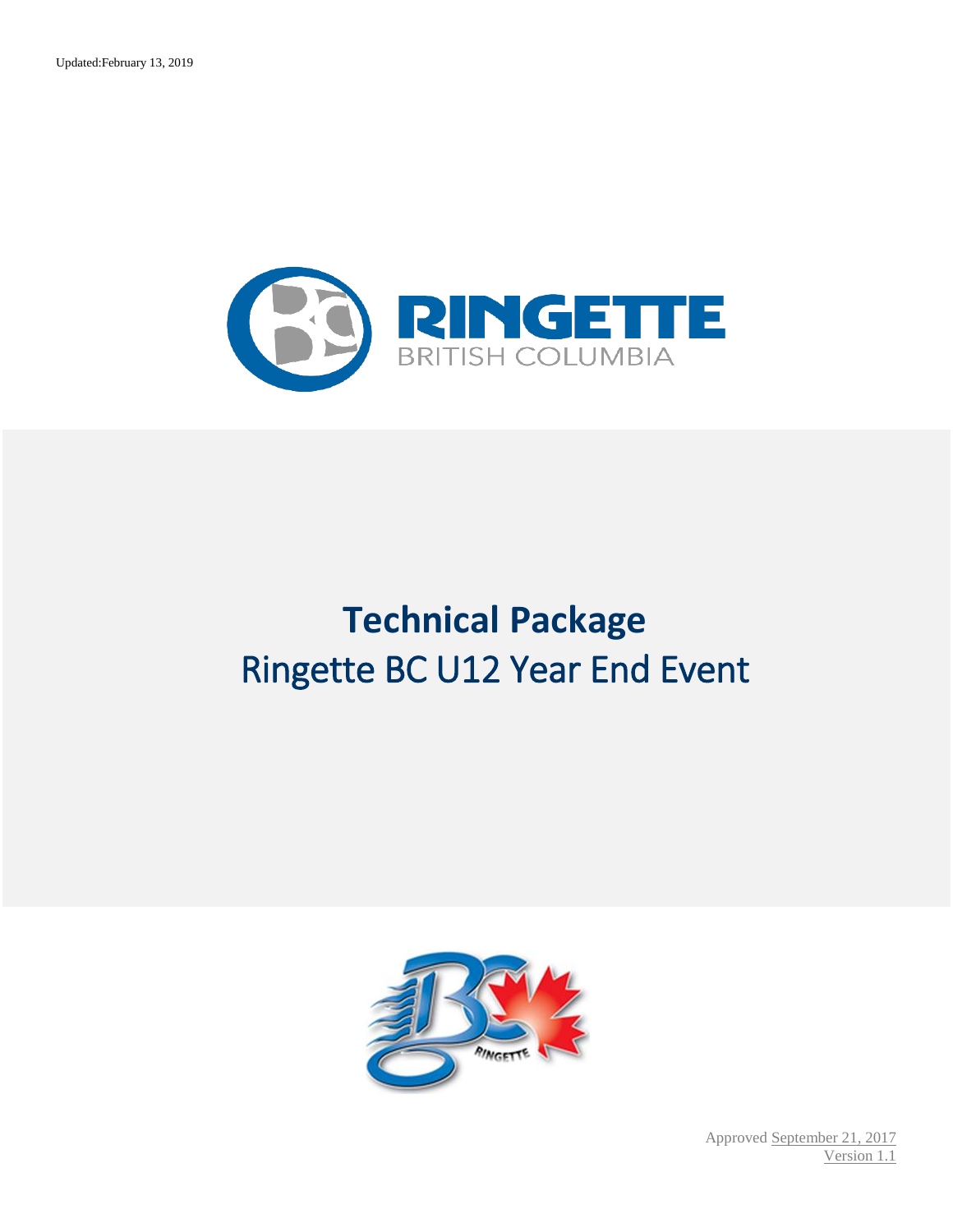

# **Technical Package** Ringette BC U12 Year End Event



Approved September 21, 2017 Version 1.1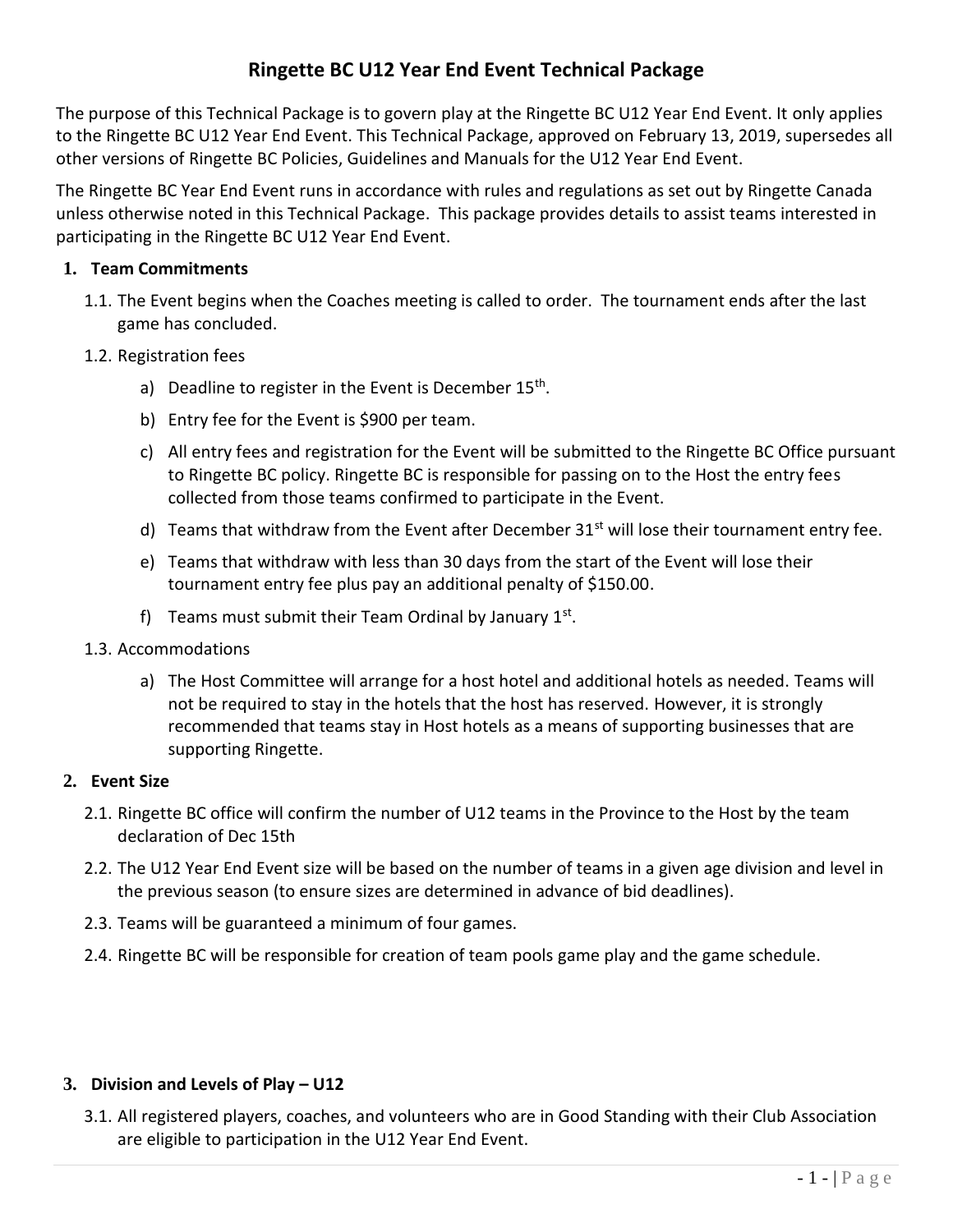# **Ringette BC U12 Year End Event Technical Package**

The purpose of this Technical Package is to govern play at the Ringette BC U12 Year End Event. It only applies to the Ringette BC U12 Year End Event. This Technical Package, approved on February 13, 2019, supersedes all other versions of Ringette BC Policies, Guidelines and Manuals for the U12 Year End Event.

The Ringette BC Year End Event runs in accordance with rules and regulations as set out by Ringette Canada unless otherwise noted in this Technical Package. This package provides details to assist teams interested in participating in the Ringette BC U12 Year End Event.

#### **1. Team Commitments**

- 1.1. The Event begins when the Coaches meeting is called to order. The tournament ends after the last game has concluded.
- 1.2. Registration fees
	- a) Deadline to register in the Event is December 15<sup>th</sup>.
	- b) Entry fee for the Event is \$900 per team.
	- c) All entry fees and registration for the Event will be submitted to the Ringette BC Office pursuant to Ringette BC policy. Ringette BC is responsible for passing on to the Host the entry fees collected from those teams confirmed to participate in the Event.
	- d) Teams that withdraw from the Event after December  $31<sup>st</sup>$  will lose their tournament entry fee.
	- e) Teams that withdraw with less than 30 days from the start of the Event will lose their tournament entry fee plus pay an additional penalty of \$150.00.
	- f) Teams must submit their Team Ordinal by January  $1<sup>st</sup>$ .
- 1.3. Accommodations
	- a) The Host Committee will arrange for a host hotel and additional hotels as needed. Teams will not be required to stay in the hotels that the host has reserved. However, it is strongly recommended that teams stay in Host hotels as a means of supporting businesses that are supporting Ringette.

#### **2. Event Size**

- 2.1. Ringette BC office will confirm the number of U12 teams in the Province to the Host by the team declaration of Dec 15th
- 2.2. The U12 Year End Event size will be based on the number of teams in a given age division and level in the previous season (to ensure sizes are determined in advance of bid deadlines).
- 2.3. Teams will be guaranteed a minimum of four games.
- 2.4. Ringette BC will be responsible for creation of team pools game play and the game schedule.

## **3. Division and Levels of Play – U12**

3.1. All registered players, coaches, and volunteers who are in Good Standing with their Club Association are eligible to participation in the U12 Year End Event.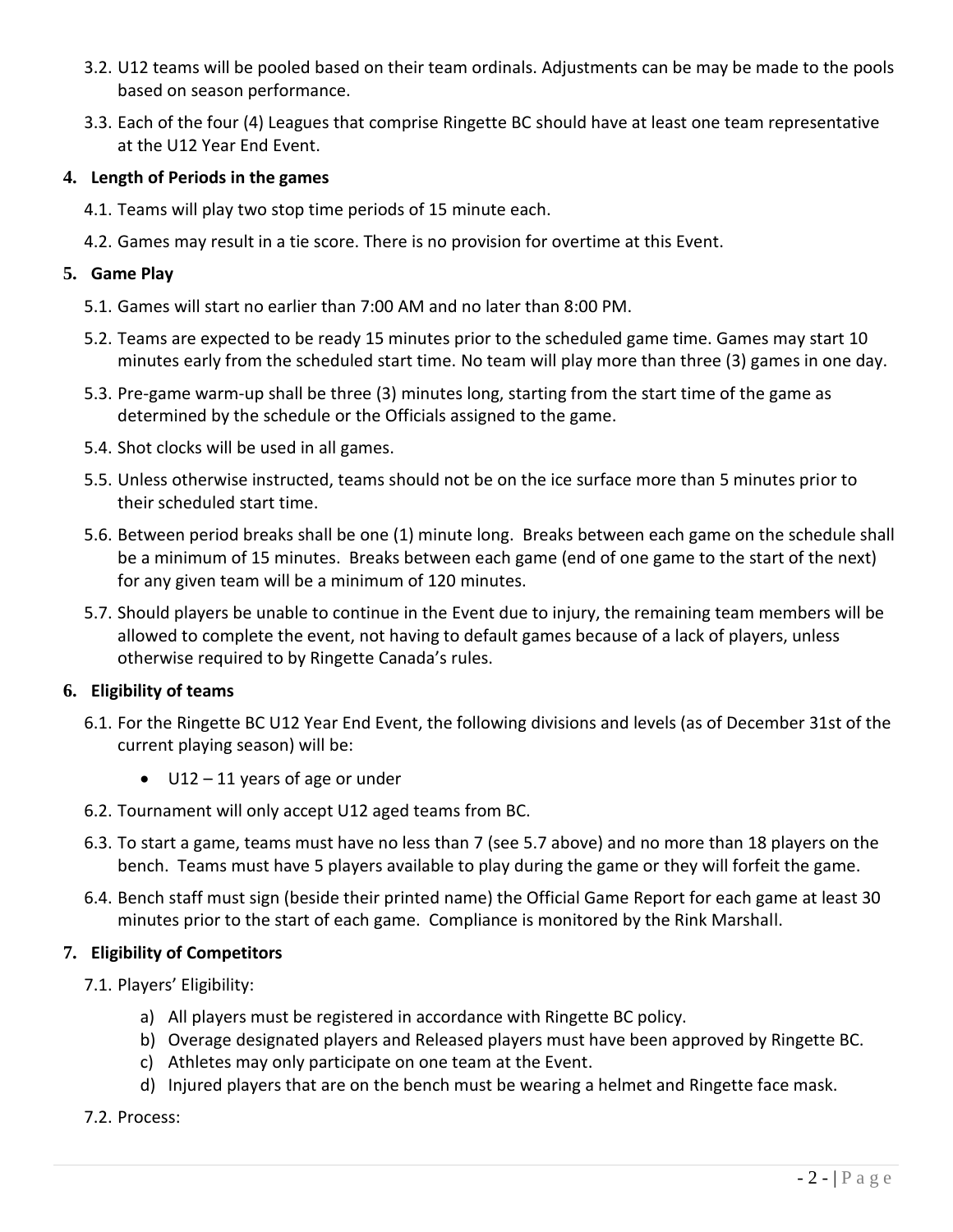- 3.2. U12 teams will be pooled based on their team ordinals. Adjustments can be may be made to the pools based on season performance.
- 3.3. Each of the four (4) Leagues that comprise Ringette BC should have at least one team representative at the U12 Year End Event.

## **4. Length of Periods in the games**

- 4.1. Teams will play two stop time periods of 15 minute each.
- 4.2. Games may result in a tie score. There is no provision for overtime at this Event.

## **5. Game Play**

- 5.1. Games will start no earlier than 7:00 AM and no later than 8:00 PM.
- 5.2. Teams are expected to be ready 15 minutes prior to the scheduled game time. Games may start 10 minutes early from the scheduled start time. No team will play more than three (3) games in one day.
- 5.3. Pre-game warm-up shall be three (3) minutes long, starting from the start time of the game as determined by the schedule or the Officials assigned to the game.
- 5.4. Shot clocks will be used in all games.
- 5.5. Unless otherwise instructed, teams should not be on the ice surface more than 5 minutes prior to their scheduled start time.
- 5.6. Between period breaks shall be one (1) minute long. Breaks between each game on the schedule shall be a minimum of 15 minutes. Breaks between each game (end of one game to the start of the next) for any given team will be a minimum of 120 minutes.
- 5.7. Should players be unable to continue in the Event due to injury, the remaining team members will be allowed to complete the event, not having to default games because of a lack of players, unless otherwise required to by Ringette Canada's rules.

# **6. Eligibility of teams**

- 6.1. For the Ringette BC U12 Year End Event, the following divisions and levels (as of December 31st of the current playing season) will be:
	- U12 11 years of age or under
- 6.2. Tournament will only accept U12 aged teams from BC.
- 6.3. To start a game, teams must have no less than 7 (see 5.7 above) and no more than 18 players on the bench. Teams must have 5 players available to play during the game or they will forfeit the game.
- 6.4. Bench staff must sign (beside their printed name) the Official Game Report for each game at least 30 minutes prior to the start of each game. Compliance is monitored by the Rink Marshall.

# **7. Eligibility of Competitors**

- 7.1. Players' Eligibility:
	- a) All players must be registered in accordance with Ringette BC policy.
	- b) Overage designated players and Released players must have been approved by Ringette BC.
	- c) Athletes may only participate on one team at the Event.
	- d) Injured players that are on the bench must be wearing a helmet and Ringette face mask.

# 7.2. Process: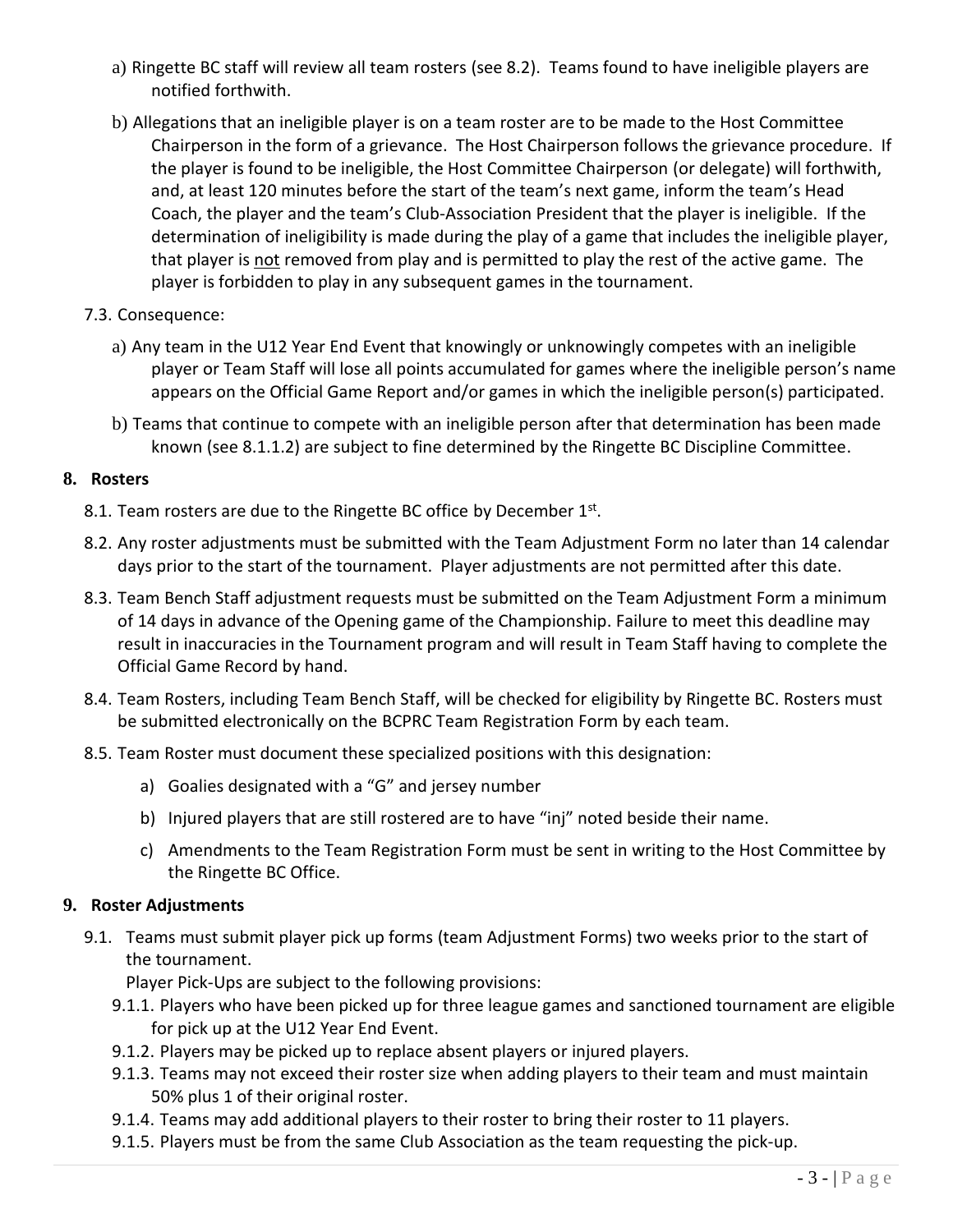- a) Ringette BC staff will review all team rosters (see 8.2). Teams found to have ineligible players are notified forthwith.
- b) Allegations that an ineligible player is on a team roster are to be made to the Host Committee Chairperson in the form of a grievance. The Host Chairperson follows the grievance procedure. If the player is found to be ineligible, the Host Committee Chairperson (or delegate) will forthwith, and, at least 120 minutes before the start of the team's next game, inform the team's Head Coach, the player and the team's Club-Association President that the player is ineligible. If the determination of ineligibility is made during the play of a game that includes the ineligible player, that player is not removed from play and is permitted to play the rest of the active game. The player is forbidden to play in any subsequent games in the tournament.
- 7.3. Consequence:
	- a) Any team in the U12 Year End Event that knowingly or unknowingly competes with an ineligible player or Team Staff will lose all points accumulated for games where the ineligible person's name appears on the Official Game Report and/or games in which the ineligible person(s) participated.
	- b) Teams that continue to compete with an ineligible person after that determination has been made known (see 8.1.1.2) are subject to fine determined by the Ringette BC Discipline Committee.

#### **8. Rosters**

- 8.1. Team rosters are due to the Ringette BC office by December 1st.
- 8.2. Any roster adjustments must be submitted with the Team Adjustment Form no later than 14 calendar days prior to the start of the tournament. Player adjustments are not permitted after this date.
- 8.3. Team Bench Staff adjustment requests must be submitted on the Team Adjustment Form a minimum of 14 days in advance of the Opening game of the Championship. Failure to meet this deadline may result in inaccuracies in the Tournament program and will result in Team Staff having to complete the Official Game Record by hand.
- 8.4. Team Rosters, including Team Bench Staff, will be checked for eligibility by Ringette BC. Rosters must be submitted electronically on the BCPRC Team Registration Form by each team.
- 8.5. Team Roster must document these specialized positions with this designation:
	- a) Goalies designated with a "G" and jersey number
	- b) Injured players that are still rostered are to have "inj" noted beside their name.
	- c) Amendments to the Team Registration Form must be sent in writing to the Host Committee by the Ringette BC Office.

#### **9. Roster Adjustments**

9.1. Teams must submit player pick up forms (team Adjustment Forms) two weeks prior to the start of the tournament.

Player Pick-Ups are subject to the following provisions:

- 9.1.1. Players who have been picked up for three league games and sanctioned tournament are eligible for pick up at the U12 Year End Event.
- 9.1.2. Players may be picked up to replace absent players or injured players.
- 9.1.3. Teams may not exceed their roster size when adding players to their team and must maintain 50% plus 1 of their original roster.
- 9.1.4. Teams may add additional players to their roster to bring their roster to 11 players.
- 9.1.5. Players must be from the same Club Association as the team requesting the pick-up.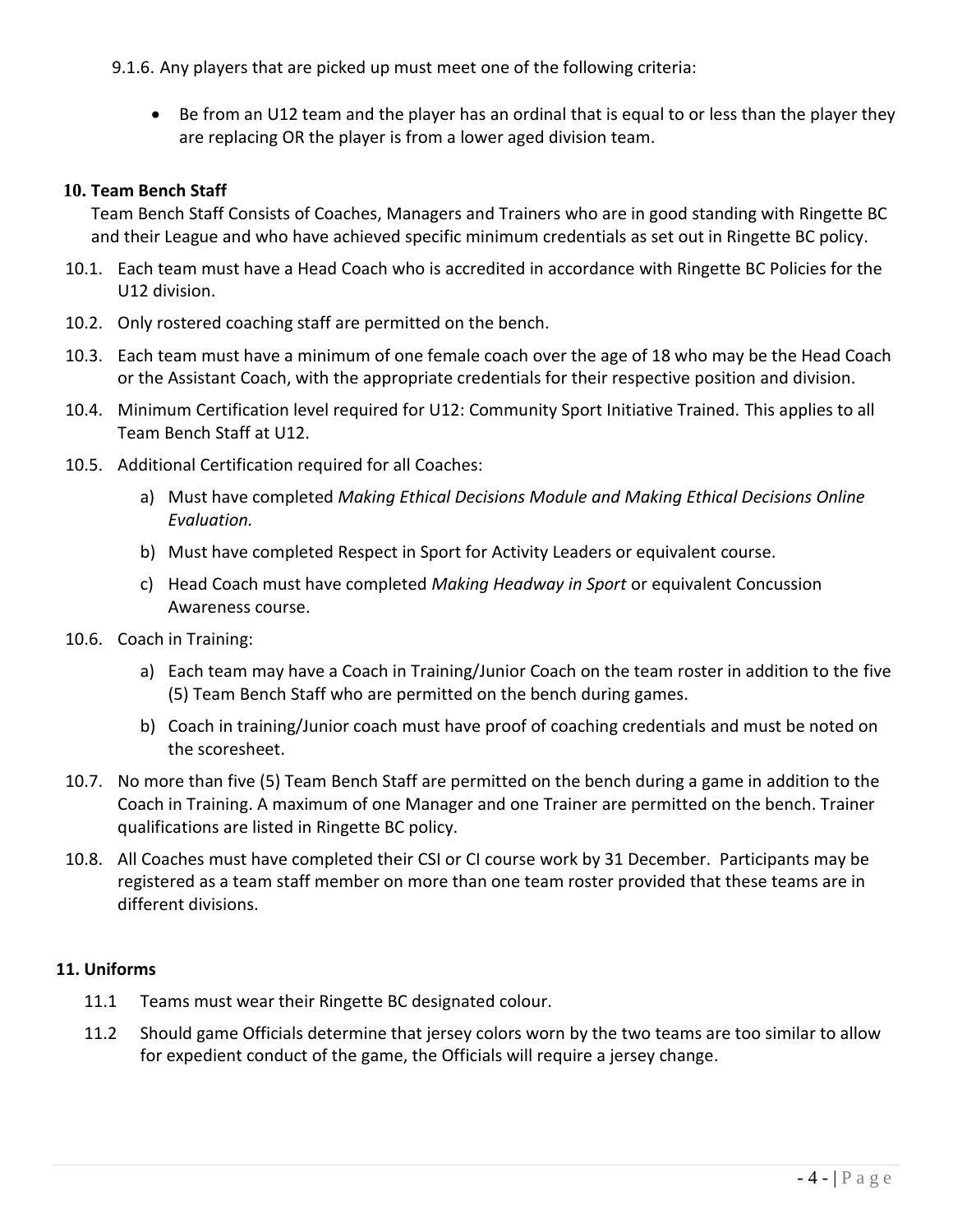9.1.6. Any players that are picked up must meet one of the following criteria:

 Be from an U12 team and the player has an ordinal that is equal to or less than the player they are replacing OR the player is from a lower aged division team.

## **10. Team Bench Staff**

Team Bench Staff Consists of Coaches, Managers and Trainers who are in good standing with Ringette BC and their League and who have achieved specific minimum credentials as set out in Ringette BC policy.

- 10.1. Each team must have a Head Coach who is accredited in accordance with Ringette BC Policies for the U12 division.
- 10.2. Only rostered coaching staff are permitted on the bench.
- 10.3. Each team must have a minimum of one female coach over the age of 18 who may be the Head Coach or the Assistant Coach, with the appropriate credentials for their respective position and division.
- 10.4. Minimum Certification level required for U12: Community Sport Initiative Trained. This applies to all Team Bench Staff at U12.
- 10.5. Additional Certification required for all Coaches:
	- a) Must have completed *Making Ethical Decisions Module and Making Ethical Decisions Online Evaluation.*
	- b) Must have completed Respect in Sport for Activity Leaders or equivalent course.
	- c) Head Coach must have completed *Making Headway in Sport* or equivalent Concussion Awareness course.
- 10.6. Coach in Training:
	- a) Each team may have a Coach in Training/Junior Coach on the team roster in addition to the five (5) Team Bench Staff who are permitted on the bench during games.
	- b) Coach in training/Junior coach must have proof of coaching credentials and must be noted on the scoresheet.
- 10.7. No more than five (5) Team Bench Staff are permitted on the bench during a game in addition to the Coach in Training. A maximum of one Manager and one Trainer are permitted on the bench. Trainer qualifications are listed in Ringette BC policy.
- 10.8. All Coaches must have completed their CSI or CI course work by 31 December. Participants may be registered as a team staff member on more than one team roster provided that these teams are in different divisions.

# **11. Uniforms**

- 11.1 Teams must wear their Ringette BC designated colour.
- 11.2 Should game Officials determine that jersey colors worn by the two teams are too similar to allow for expedient conduct of the game, the Officials will require a jersey change.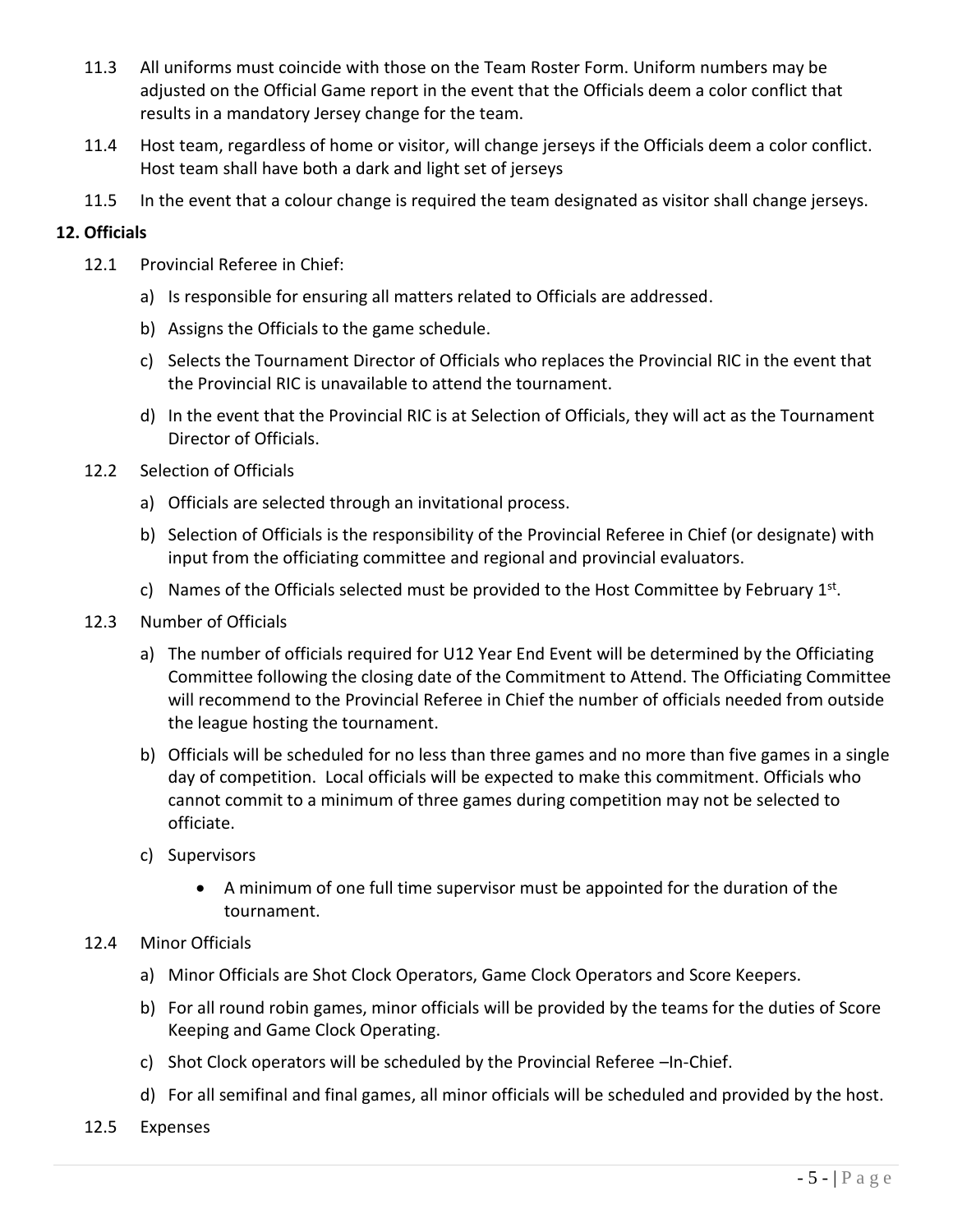- 11.3 All uniforms must coincide with those on the Team Roster Form. Uniform numbers may be adjusted on the Official Game report in the event that the Officials deem a color conflict that results in a mandatory Jersey change for the team.
- 11.4 Host team, regardless of home or visitor, will change jerseys if the Officials deem a color conflict. Host team shall have both a dark and light set of jerseys
- 11.5 In the event that a colour change is required the team designated as visitor shall change jerseys.

#### **12. Officials**

- 12.1 Provincial Referee in Chief:
	- a) Is responsible for ensuring all matters related to Officials are addressed.
	- b) Assigns the Officials to the game schedule.
	- c) Selects the Tournament Director of Officials who replaces the Provincial RIC in the event that the Provincial RIC is unavailable to attend the tournament.
	- d) In the event that the Provincial RIC is at Selection of Officials, they will act as the Tournament Director of Officials.
- 12.2 Selection of Officials
	- a) Officials are selected through an invitational process.
	- b) Selection of Officials is the responsibility of the Provincial Referee in Chief (or designate) with input from the officiating committee and regional and provincial evaluators.
	- c) Names of the Officials selected must be provided to the Host Committee by February  $1<sup>st</sup>$ .
- 12.3 Number of Officials
	- a) The number of officials required for U12 Year End Event will be determined by the Officiating Committee following the closing date of the Commitment to Attend. The Officiating Committee will recommend to the Provincial Referee in Chief the number of officials needed from outside the league hosting the tournament.
	- b) Officials will be scheduled for no less than three games and no more than five games in a single day of competition. Local officials will be expected to make this commitment. Officials who cannot commit to a minimum of three games during competition may not be selected to officiate.
	- c) Supervisors
		- A minimum of one full time supervisor must be appointed for the duration of the tournament.

#### 12.4 Minor Officials

- a) Minor Officials are Shot Clock Operators, Game Clock Operators and Score Keepers.
- b) For all round robin games, minor officials will be provided by the teams for the duties of Score Keeping and Game Clock Operating.
- c) Shot Clock operators will be scheduled by the Provincial Referee –In-Chief.
- d) For all semifinal and final games, all minor officials will be scheduled and provided by the host.
- 12.5 Expenses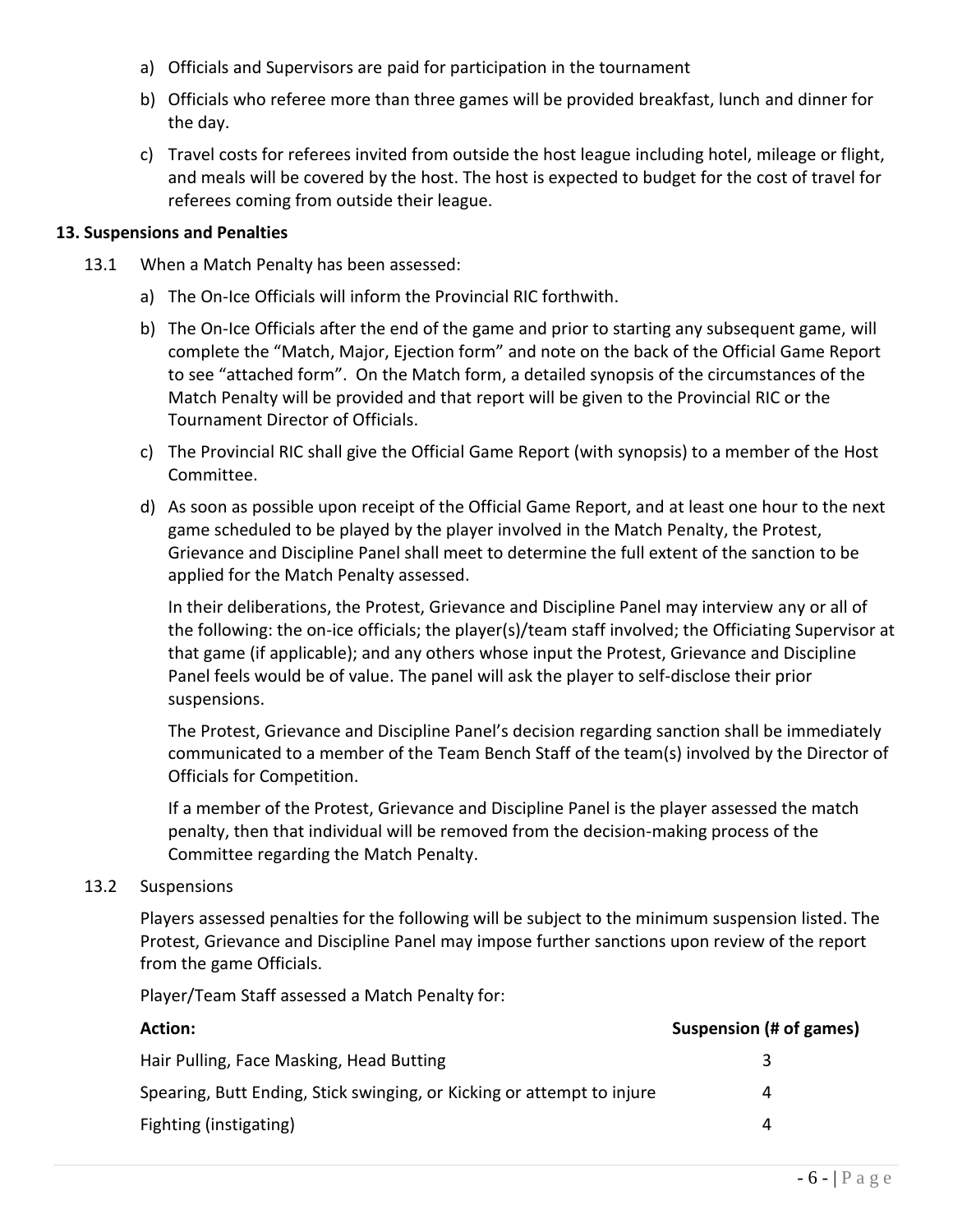- a) Officials and Supervisors are paid for participation in the tournament
- b) Officials who referee more than three games will be provided breakfast, lunch and dinner for the day.
- c) Travel costs for referees invited from outside the host league including hotel, mileage or flight, and meals will be covered by the host. The host is expected to budget for the cost of travel for referees coming from outside their league.

#### **13. Suspensions and Penalties**

- 13.1 When a Match Penalty has been assessed:
	- a) The On-Ice Officials will inform the Provincial RIC forthwith.
	- b) The On-Ice Officials after the end of the game and prior to starting any subsequent game, will complete the "Match, Major, Ejection form" and note on the back of the Official Game Report to see "attached form". On the Match form, a detailed synopsis of the circumstances of the Match Penalty will be provided and that report will be given to the Provincial RIC or the Tournament Director of Officials.
	- c) The Provincial RIC shall give the Official Game Report (with synopsis) to a member of the Host Committee.
	- d) As soon as possible upon receipt of the Official Game Report, and at least one hour to the next game scheduled to be played by the player involved in the Match Penalty, the Protest, Grievance and Discipline Panel shall meet to determine the full extent of the sanction to be applied for the Match Penalty assessed.

In their deliberations, the Protest, Grievance and Discipline Panel may interview any or all of the following: the on-ice officials; the player(s)/team staff involved; the Officiating Supervisor at that game (if applicable); and any others whose input the Protest, Grievance and Discipline Panel feels would be of value. The panel will ask the player to self-disclose their prior suspensions.

The Protest, Grievance and Discipline Panel's decision regarding sanction shall be immediately communicated to a member of the Team Bench Staff of the team(s) involved by the Director of Officials for Competition.

If a member of the Protest, Grievance and Discipline Panel is the player assessed the match penalty, then that individual will be removed from the decision-making process of the Committee regarding the Match Penalty.

#### 13.2 Suspensions

Players assessed penalties for the following will be subject to the minimum suspension listed. The Protest, Grievance and Discipline Panel may impose further sanctions upon review of the report from the game Officials.

Player/Team Staff assessed a Match Penalty for:

| <b>Action:</b>                                                         | Suspension (# of games) |
|------------------------------------------------------------------------|-------------------------|
| Hair Pulling, Face Masking, Head Butting                               |                         |
| Spearing, Butt Ending, Stick swinging, or Kicking or attempt to injure | 4                       |
| Fighting (instigating)                                                 | 4                       |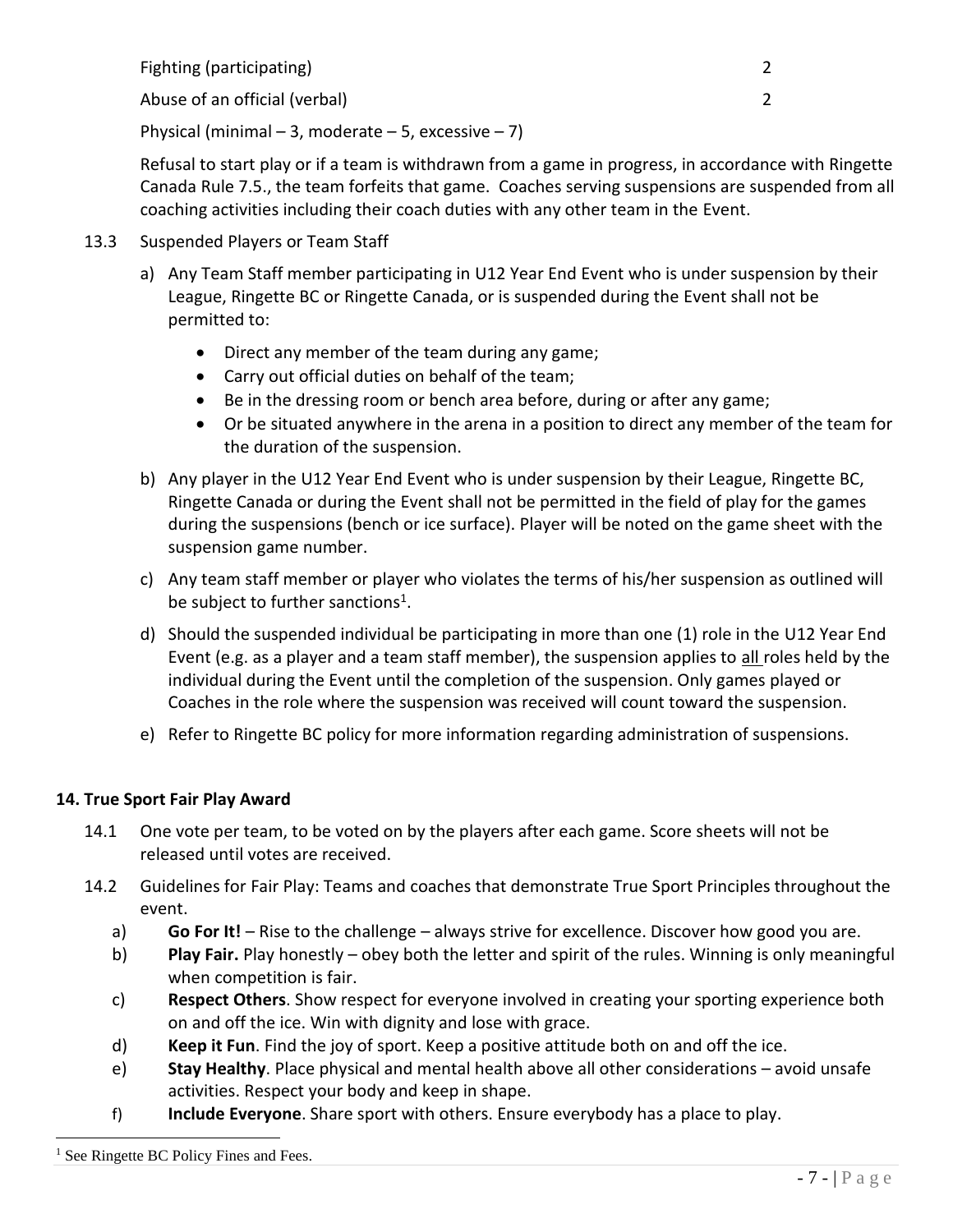| Fighting (participating) |  |
|--------------------------|--|
|                          |  |

Abuse of an official (verbal) 2

Physical (minimal – 3, moderate – 5, excessive – 7)

Refusal to start play or if a team is withdrawn from a game in progress, in accordance with Ringette Canada Rule 7.5., the team forfeits that game. Coaches serving suspensions are suspended from all coaching activities including their coach duties with any other team in the Event.

- 13.3 Suspended Players or Team Staff
	- a) Any Team Staff member participating in U12 Year End Event who is under suspension by their League, Ringette BC or Ringette Canada, or is suspended during the Event shall not be permitted to:
		- Direct any member of the team during any game;
		- Carry out official duties on behalf of the team;
		- Be in the dressing room or bench area before, during or after any game;
		- Or be situated anywhere in the arena in a position to direct any member of the team for the duration of the suspension.
	- b) Any player in the U12 Year End Event who is under suspension by their League, Ringette BC, Ringette Canada or during the Event shall not be permitted in the field of play for the games during the suspensions (bench or ice surface). Player will be noted on the game sheet with the suspension game number.
	- c) Any team staff member or player who violates the terms of his/her suspension as outlined will be subject to further sanctions<sup>1</sup>.
	- d) Should the suspended individual be participating in more than one (1) role in the U12 Year End Event (e.g. as a player and a team staff member), the suspension applies to all roles held by the individual during the Event until the completion of the suspension. Only games played or Coaches in the role where the suspension was received will count toward the suspension.
	- e) Refer to Ringette BC policy for more information regarding administration of suspensions.

## **14. True Sport Fair Play Award**

- 14.1 One vote per team, to be voted on by the players after each game. Score sheets will not be released until votes are received.
- 14.2 Guidelines for Fair Play: Teams and coaches that demonstrate True Sport Principles throughout the event.
	- a) **Go For It!** Rise to the challenge always strive for excellence. Discover how good you are.
	- b) **Play Fair.** Play honestly obey both the letter and spirit of the rules. Winning is only meaningful when competition is fair.
	- c) **Respect Others**. Show respect for everyone involved in creating your sporting experience both on and off the ice. Win with dignity and lose with grace.
	- d) **Keep it Fun**. Find the joy of sport. Keep a positive attitude both on and off the ice.
	- e) **Stay Healthy**. Place physical and mental health above all other considerations avoid unsafe activities. Respect your body and keep in shape.
	- f) **Include Everyone**. Share sport with others. Ensure everybody has a place to play.

<sup>1</sup> See Ringette BC Policy Fines and Fees.

 $\overline{a}$